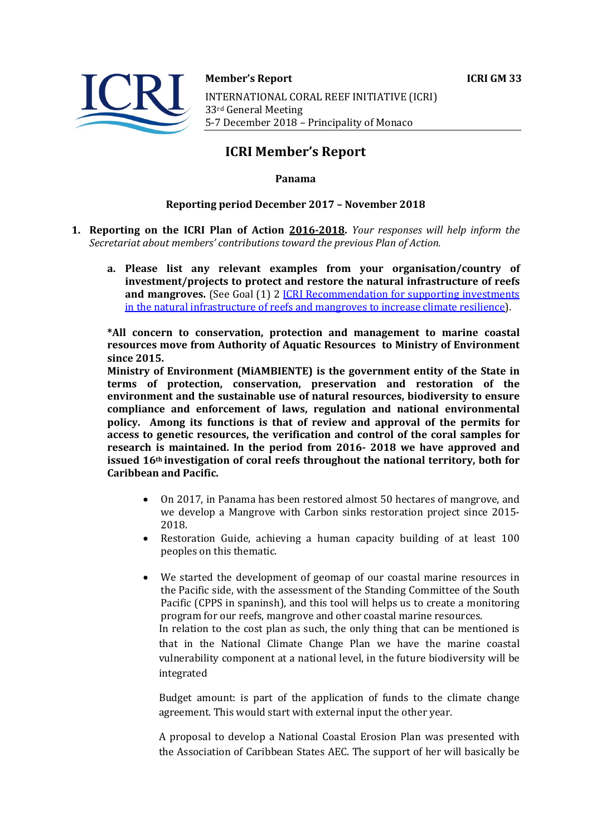

#### **Member's Report ICRI GM 33**

INTERNATIONAL CORAL REEF INITIATIVE (ICRI) 33rd General Meeting 5-7 December 2018 - Principality of Monaco

# **ICRI Member's Report**

## **Panama**

#### **Reporting period December 2017 - November 2018**

- **1. Reporting on the ICRI Plan of Action 2016-2018.** *Your responses will help inform the* Secretariat about members' contributions toward the previous Plan of Action.
	- a. Please list any relevant examples from your organisation/country of investment/projects to protect and restore the natural infrastructure of reefs **and mangroves.** (See Goal (1) 2 **ICRI** Recommendation for supporting investments in the natural infrastructure of reefs and mangroves to increase climate resilience).

\*All concern to conservation, protection and management to marine coastal **resources move from Authority of Aquatic Resources to Ministry of Environment since 2015.**

**Ministry of Environment (MIAMBIENTE) is the government entity of the State in** terms of protection, conservation, preservation and restoration of the environment and the sustainable use of natural resources, biodiversity to ensure compliance and enforcement of laws, regulation and national environmental **policy.** Among its functions is that of review and approval of the permits for access to genetic resources, the verification and control of the coral samples for research is maintained. In the period from 2016- 2018 we have approved and issued 16<sup>th</sup> investigation of coral reefs throughout the national territory, both for **Caribbean and Pacific.**

- On 2017, in Panama has been restored almost 50 hectares of mangrove, and we develop a Mangrove with Carbon sinks restoration project since 2015-2018.
- Restoration Guide, achieving a human capacity building of at least 100 peoples on this thematic.
- We started the development of geomap of our coastal marine resources in the Pacific side, with the assessment of the Standing Committee of the South Pacific (CPPS in spaninsh), and this tool will helps us to create a monitoring program for our reefs, mangrove and other coastal marine resources. In relation to the cost plan as such, the only thing that can be mentioned is that in the National Climate Change Plan we have the marine coastal vulnerability component at a national level, in the future biodiversity will be integrated

Budget amount: is part of the application of funds to the climate change agreement. This would start with external input the other year.

A proposal to develop a National Coastal Erosion Plan was presented with the Association of Caribbean States AEC. The support of her will basically be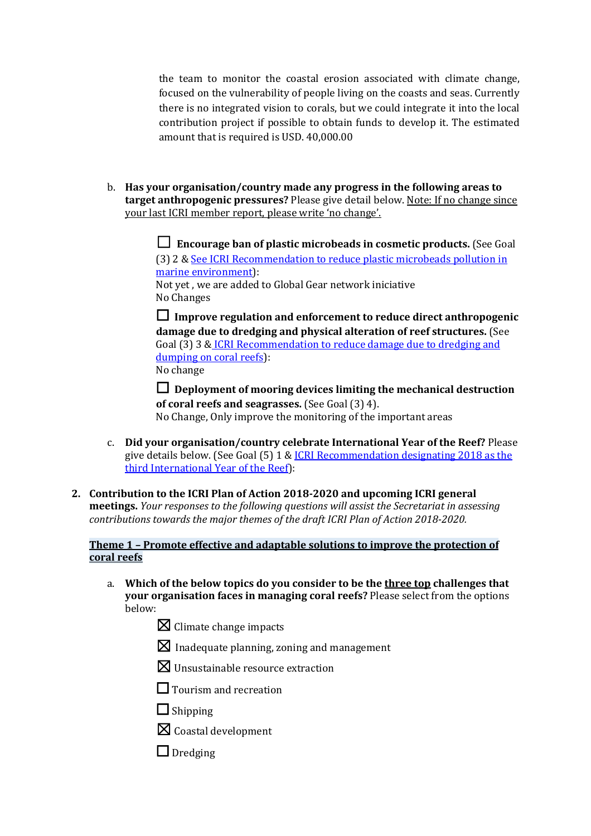the team to monitor the coastal erosion associated with climate change, focused on the vulnerability of people living on the coasts and seas. Currently there is no integrated vision to corals, but we could integrate it into the local contribution project if possible to obtain funds to develop it. The estimated amount that is required is USD. 40,000,00

b. Has your organisation/country made any progress in the following areas to **target anthropogenic pressures?** Please give detail below. Note: If no change since your last ICRI member report, please write 'no change'.

> ☐ **Encourage ban of plastic microbeads in cosmetic products.** (See Goal (3) 2 & See ICRI Recommendation to reduce plastic microbeads pollution in marine environment): Not yet, we are added to Global Gear network iniciative

No Changes

 $\Box$  Improve regulation and enforcement to reduce direct anthropogenic **damage due to dredging and physical alteration of reef structures.** (See Goal (3) 3 & ICRI Recommendation to reduce damage due to dredging and dumping on coral reefs): No change

 $\Box$  Deployment of mooring devices limiting the mechanical destruction **of coral reefs and seagrasses.** (See Goal (3) 4).

No Change, Only improve the monitoring of the important areas

- c. **Did vour organisation/country celebrate International Year of the Reef?** Please give details below. (See Goal  $(5)$  1 & ICRI Recommendation designating 2018 as the third International Year of the Reef):
- 2. Contribution to the ICRI Plan of Action 2018-2020 and upcoming ICRI general **meetings.** *Your responses to the following questions will assist the Secretariat in assessing contributions towards the major themes of the draft ICRI Plan of Action 2018-2020.*

# **Theme 1 - Promote effective and adaptable solutions to improve the protection of coral reefs**

- a. Which of the below topics do you consider to be the three top challenges that **your organisation faces in managing coral reefs?** Please select from the options below:
	- $\boxtimes$  Climate change impacts
	- $\boxtimes$  Inadequate planning, zoning and management
	- $\boxtimes$  Unsustainable resource extraction
	- $\Box$  Tourism and recreation
	- □ Shipping
	- $\boxtimes$  Coastal development
	- □ Dredging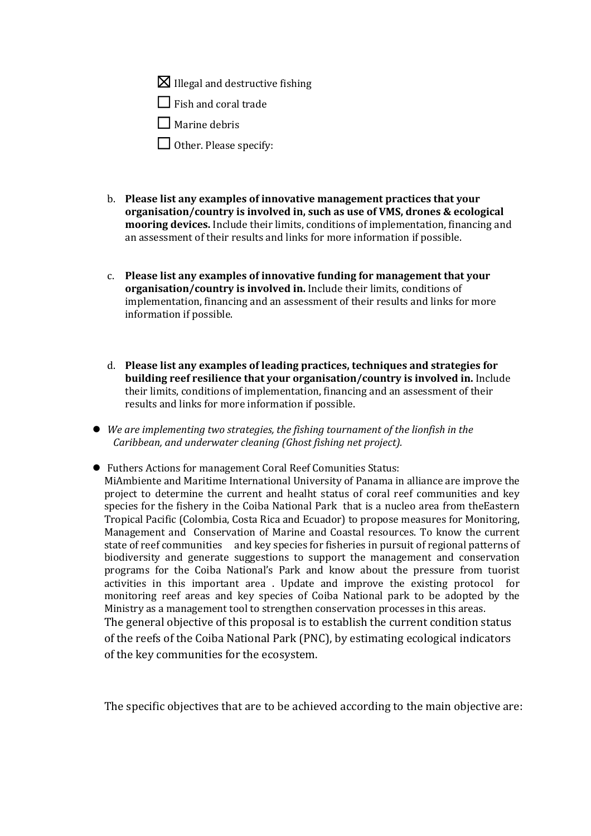$\boxtimes$  Illegal and destructive fishing

 $\Box$  Fish and coral trade

 $\Box$  Marine debris

 $\Box$  Other. Please specify:

- b. Please list any examples of innovative management practices that your organisation/country is involved in, such as use of VMS, drones & ecological **mooring devices.** Include their limits, conditions of implementation, financing and an assessment of their results and links for more information if possible.
- c. Please list any examples of innovative funding for management that your organisation/country is involved in. Include their limits, conditions of implementation, financing and an assessment of their results and links for more information if possible.
- d. Please list any examples of leading practices, techniques and strategies for **building reef resilience that your organisation/country is involved in.** Include their limits, conditions of implementation, financing and an assessment of their results and links for more information if possible.
- We are implementing two strategies, the fishing tournament of the lionfish in the *Caribbean, and underwater cleaning (Ghost fishing net project).*
- Futhers Actions for management Coral Reef Comunities Status: MiAmbiente and Maritime International University of Panama in alliance are improve the project to determine the current and healht status of coral reef communities and key species for the fishery in the Coiba National Park  $\overline{a}$  that is a nucleo area from the Eastern Tropical Pacific (Colombia, Costa Rica and Ecuador) to propose measures for Monitoring, Management and Conservation of Marine and Coastal resources. To know the current state of reef communities and key species for fisheries in pursuit of regional patterns of biodiversity and generate suggestions to support the management and conservation programs for the Coiba National's Park and know about the pressure from tuorist activities in this important area . Update and improve the existing protocol for monitoring reef areas and key species of Coiba National park to be adopted by the Ministry as a management tool to strengthen conservation processes in this areas. The general objective of this proposal is to establish the current condition status of the reefs of the Coiba National Park (PNC), by estimating ecological indicators of the key communities for the ecosystem.

The specific objectives that are to be achieved according to the main objective are: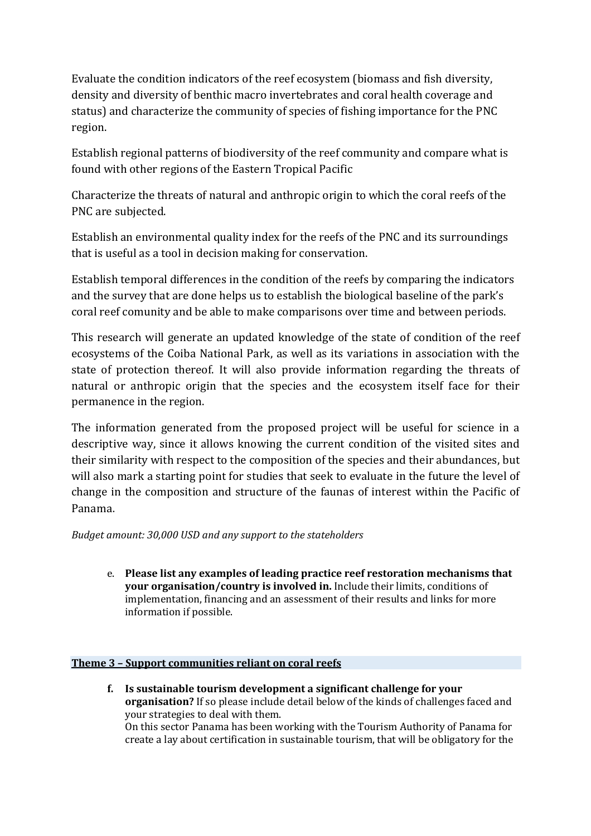Evaluate the condition indicators of the reef ecosystem (biomass and fish diversity, density and diversity of benthic macro invertebrates and coral health coverage and status) and characterize the community of species of fishing importance for the PNC region.

Establish regional patterns of biodiversity of the reef community and compare what is found with other regions of the Eastern Tropical Pacific

Characterize the threats of natural and anthropic origin to which the coral reefs of the PNC are subjected.

Establish an environmental quality index for the reefs of the PNC and its surroundings that is useful as a tool in decision making for conservation.

Establish temporal differences in the condition of the reefs by comparing the indicators and the survey that are done helps us to establish the biological baseline of the park's coral reef comunity and be able to make comparisons over time and between periods.

This research will generate an updated knowledge of the state of condition of the reef ecosystems of the Coiba National Park, as well as its variations in association with the state of protection thereof. It will also provide information regarding the threats of natural or anthropic origin that the species and the ecosystem itself face for their permanence in the region.

The information generated from the proposed project will be useful for science in a descriptive way, since it allows knowing the current condition of the visited sites and their similarity with respect to the composition of the species and their abundances, but will also mark a starting point for studies that seek to evaluate in the future the level of change in the composition and structure of the faunas of interest within the Pacific of Panama.

*Budget amount: 30,000 USD and any support to the stateholders* 

e. Please list any examples of leading practice reef restoration mechanisms that **your organisation/country is involved in.** Include their limits, conditions of implementation, financing and an assessment of their results and links for more information if possible.

# **Theme 3 - Support communities reliant on coral reefs**

f. Is sustainable tourism development a significant challenge for your **organisation?** If so please include detail below of the kinds of challenges faced and your strategies to deal with them. On this sector Panama has been working with the Tourism Authority of Panama for create a lay about certification in sustainable tourism, that will be obligatory for the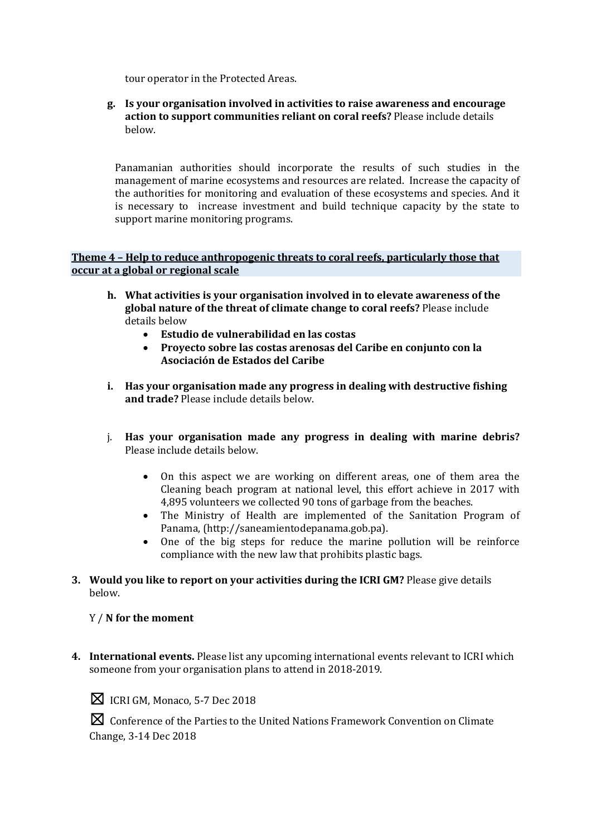tour operator in the Protected Areas.

**g.** Is your organisation involved in activities to raise awareness and encourage **action to support communities reliant on coral reefs?** Please include details below.

Panamanian authorities should incorporate the results of such studies in the management of marine ecosystems and resources are related. Increase the capacity of the authorities for monitoring and evaluation of these ecosystems and species. And it is necessary to increase investment and build technique capacity by the state to support marine monitoring programs.

## **Theme 4 - Help to reduce anthropogenic threats to coral reefs, particularly those that occur at a global or regional scale**

- **h.** What activities is vour organisation involved in to elevate awareness of the global nature of the threat of climate change to coral reefs? Please include details below
	- **Estudio de vulnerabilidad en las costas**
	- Provecto sobre las costas arenosas del Caribe en conjunto con la **Asociación de Estados del Caribe**
- **i.** Has your organisation made any progress in dealing with destructive fishing and trade? Please include details below.
- j. Has your organisation made any progress in dealing with marine debris? Please include details below.
	- On this aspect we are working on different areas, one of them area the Cleaning beach program at national level, this effort achieve in 2017 with 4,895 volunteers we collected 90 tons of garbage from the beaches.
	- The Ministry of Health are implemented of the Sanitation Program of Panama, (http://saneamientodepanama.gob.pa).
	- One of the big steps for reduce the marine pollution will be reinforce compliance with the new law that prohibits plastic bags.
- **3.** Would you like to report on your activities during the ICRI GM? Please give details below.

# Y / N for the moment

**4.** International events. Please list any upcoming international events relevant to ICRI which someone from your organisation plans to attend in 2018-2019.



**X** ICRI GM, Monaco, 5-7 Dec 2018

**X** Conference of the Parties to the United Nations Framework Convention on Climate Change, 3-14 Dec 2018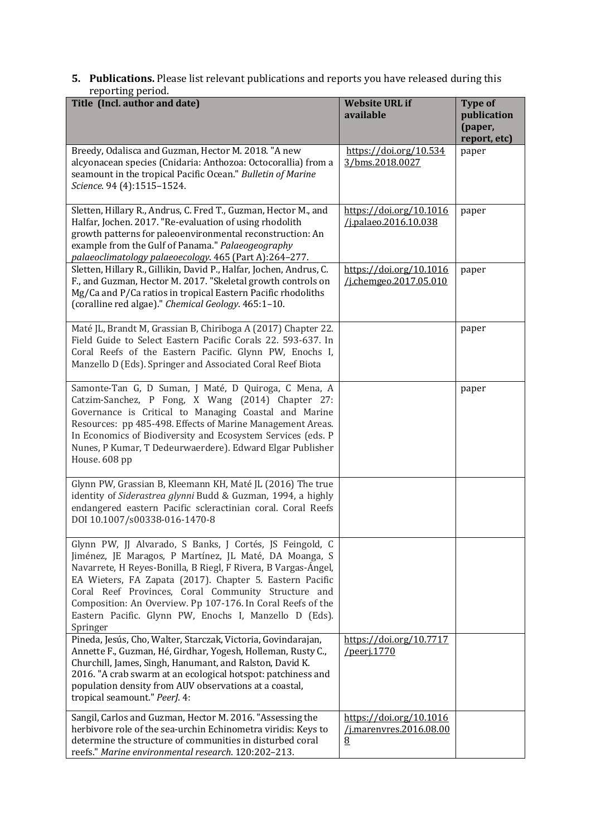#### **5. Publications.** Please list relevant publications and reports you have released during this reporting period.

| Title (Incl. author and date)                                                                                                                                                                                                                                                                                                                                                                                                                | <b>Website URL if</b><br>available                      | <b>Type of</b><br>publication<br>(paper,<br>report, etc) |
|----------------------------------------------------------------------------------------------------------------------------------------------------------------------------------------------------------------------------------------------------------------------------------------------------------------------------------------------------------------------------------------------------------------------------------------------|---------------------------------------------------------|----------------------------------------------------------|
| Breedy, Odalisca and Guzman, Hector M. 2018. "A new<br>alcyonacean species (Cnidaria: Anthozoa: Octocorallia) from a<br>seamount in the tropical Pacific Ocean." Bulletin of Marine<br>Science. 94 (4):1515-1524.                                                                                                                                                                                                                            | https://doi.org/10.534<br>3/bms.2018.0027               | paper                                                    |
| Sletten, Hillary R., Andrus, C. Fred T., Guzman, Hector M., and<br>Halfar, Jochen. 2017. "Re-evaluation of using rhodolith<br>growth patterns for paleoenvironmental reconstruction: An<br>example from the Gulf of Panama." Palaeogeography<br>palaeoclimatology palaeoecology. 465 (Part A):264-277.                                                                                                                                       | https://doi.org/10.1016<br>/j.palaeo.2016.10.038        | paper                                                    |
| Sletten, Hillary R., Gillikin, David P., Halfar, Jochen, Andrus, C.<br>F., and Guzman, Hector M. 2017. "Skeletal growth controls on<br>Mg/Ca and P/Ca ratios in tropical Eastern Pacific rhodoliths<br>(coralline red algae)." Chemical Geology. 465:1-10.                                                                                                                                                                                   | https://doi.org/10.1016<br>/j.chemgeo.2017.05.010       | paper                                                    |
| Maté JL, Brandt M, Grassian B, Chiriboga A (2017) Chapter 22.<br>Field Guide to Select Eastern Pacific Corals 22. 593-637. In<br>Coral Reefs of the Eastern Pacific. Glynn PW, Enochs I,<br>Manzello D (Eds). Springer and Associated Coral Reef Biota                                                                                                                                                                                       |                                                         | paper                                                    |
| Samonte-Tan G, D Suman, J Maté, D Quiroga, C Mena, A<br>Catzim-Sanchez, P Fong, X Wang (2014) Chapter 27:<br>Governance is Critical to Managing Coastal and Marine<br>Resources: pp 485-498. Effects of Marine Management Areas.<br>In Economics of Biodiversity and Ecosystem Services (eds. P<br>Nunes, P Kumar, T Dedeurwaerdere). Edward Elgar Publisher<br>House. 608 pp                                                                |                                                         | paper                                                    |
| Glynn PW, Grassian B, Kleemann KH, Maté JL (2016) The true<br>identity of Siderastrea glynni Budd & Guzman, 1994, a highly<br>endangered eastern Pacific scleractinian coral. Coral Reefs<br>DOI 10.1007/s00338-016-1470-8                                                                                                                                                                                                                   |                                                         |                                                          |
| Glynn PW, JJ Alvarado, S Banks, J Cortés, JS Feingold, C<br>Jiménez, JE Maragos, P Martínez, JL Maté, DA Moanga, S<br>Navarrete, H Reyes-Bonilla, B Riegl, F Rivera, B Vargas-Ángel,<br>EA Wieters, FA Zapata (2017). Chapter 5. Eastern Pacific<br>Coral Reef Provinces, Coral Community Structure and<br>Composition: An Overview. Pp 107-176. In Coral Reefs of the<br>Eastern Pacific. Glynn PW, Enochs I, Manzello D (Eds).<br>Springer |                                                         |                                                          |
| Pineda, Jesús, Cho, Walter, Starczak, Victoria, Govindarajan,<br>Annette F., Guzman, Hé, Girdhar, Yogesh, Holleman, Rusty C.,<br>Churchill, James, Singh, Hanumant, and Ralston, David K.<br>2016. "A crab swarm at an ecological hotspot: patchiness and<br>population density from AUV observations at a coastal,<br>tropical seamount." PeerJ. 4:                                                                                         | https://doi.org/10.7717<br>/peerj.1770                  |                                                          |
| Sangil, Carlos and Guzman, Hector M. 2016. "Assessing the<br>herbivore role of the sea-urchin Echinometra viridis: Keys to<br>determine the structure of communities in disturbed coral<br>reefs." Marine environmental research. 120:202-213.                                                                                                                                                                                               | https://doi.org/10.1016<br>/j.marenvres.2016.08.00<br>8 |                                                          |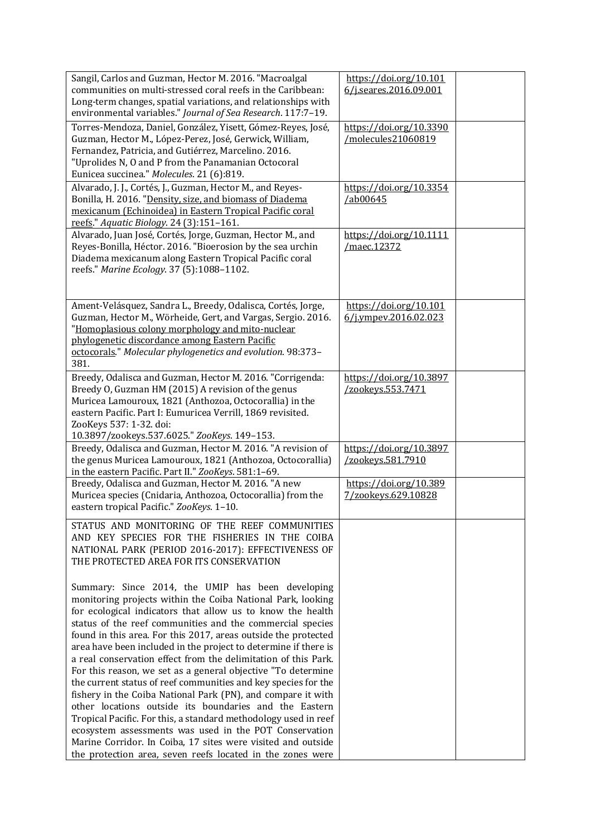| Sangil, Carlos and Guzman, Hector M. 2016. "Macroalgal<br>communities on multi-stressed coral reefs in the Caribbean:<br>Long-term changes, spatial variations, and relationships with<br>environmental variables." Journal of Sea Research. 117:7-19.                                                                                                                                                                                                                                                                                                                                                                                                                                                                                                                            | https://doi.org/10.101<br>6/j.seares.2016.09.001 |  |
|-----------------------------------------------------------------------------------------------------------------------------------------------------------------------------------------------------------------------------------------------------------------------------------------------------------------------------------------------------------------------------------------------------------------------------------------------------------------------------------------------------------------------------------------------------------------------------------------------------------------------------------------------------------------------------------------------------------------------------------------------------------------------------------|--------------------------------------------------|--|
| Torres-Mendoza, Daniel, González, Yisett, Gómez-Reyes, José,<br>Guzman, Hector M., López-Perez, José, Gerwick, William,<br>Fernandez, Patricia, and Gutiérrez, Marcelino. 2016.<br>"Uprolides N, O and P from the Panamanian Octocoral<br>Eunicea succinea." Molecules. 21 (6):819.                                                                                                                                                                                                                                                                                                                                                                                                                                                                                               | https://doi.org/10.3390<br>/molecules21060819    |  |
| Alvarado, J. J., Cortés, J., Guzman, Hector M., and Reyes-<br>Bonilla, H. 2016. "Density, size, and biomass of Diadema<br>mexicanum (Echinoidea) in Eastern Tropical Pacific coral<br>reefs." Aquatic Biology. 24 (3):151-161.                                                                                                                                                                                                                                                                                                                                                                                                                                                                                                                                                    | https://doi.org/10.3354<br>/ab00645              |  |
| Alvarado, Juan José, Cortés, Jorge, Guzman, Hector M., and<br>Reyes-Bonilla, Héctor. 2016. "Bioerosion by the sea urchin<br>Diadema mexicanum along Eastern Tropical Pacific coral<br>reefs." Marine Ecology. 37 (5):1088-1102.                                                                                                                                                                                                                                                                                                                                                                                                                                                                                                                                                   | https://doi.org/10.1111<br>/maec.12372           |  |
| Ament-Velásquez, Sandra L., Breedy, Odalisca, Cortés, Jorge,<br>Guzman, Hector M., Wörheide, Gert, and Vargas, Sergio. 2016.<br>"Homoplasious colony morphology and mito-nuclear<br>phylogenetic discordance among Eastern Pacific<br>octocorals." Molecular phylogenetics and evolution. 98:373-<br>381.                                                                                                                                                                                                                                                                                                                                                                                                                                                                         | https://doi.org/10.101<br>6/j.vmpev.2016.02.023  |  |
| Breedy, Odalisca and Guzman, Hector M. 2016. "Corrigenda:<br>Breedy O, Guzman HM (2015) A revision of the genus<br>Muricea Lamouroux, 1821 (Anthozoa, Octocorallia) in the<br>eastern Pacific. Part I: Eumuricea Verrill, 1869 revisited.<br>ZooKeys 537: 1-32. doi:<br>10.3897/zookeys.537.6025." ZooKeys. 149-153.                                                                                                                                                                                                                                                                                                                                                                                                                                                              | https://doi.org/10.3897<br>/zookeys.553.7471     |  |
| Breedy, Odalisca and Guzman, Hector M. 2016. "A revision of<br>the genus Muricea Lamouroux, 1821 (Anthozoa, Octocorallia)<br>in the eastern Pacific. Part II." ZooKeys. 581:1-69.                                                                                                                                                                                                                                                                                                                                                                                                                                                                                                                                                                                                 | https://doi.org/10.3897<br>/zookeys.581.7910     |  |
| Breedy, Odalisca and Guzman, Hector M. 2016. "A new<br>Muricea species (Cnidaria, Anthozoa, Octocorallia) from the<br>eastern tropical Pacific." ZooKeys. 1-10.                                                                                                                                                                                                                                                                                                                                                                                                                                                                                                                                                                                                                   | https://doi.org/10.389<br>7/zookeys.629.10828    |  |
| STATUS AND MONITORING OF THE REEF COMMUNITIES<br>AND KEY SPECIES FOR THE FISHERIES IN THE COIBA<br>NATIONAL PARK (PERIOD 2016-2017): EFFECTIVENESS OF<br>THE PROTECTED AREA FOR ITS CONSERVATION                                                                                                                                                                                                                                                                                                                                                                                                                                                                                                                                                                                  |                                                  |  |
| Summary: Since 2014, the UMIP has been developing<br>monitoring projects within the Coiba National Park, looking<br>for ecological indicators that allow us to know the health<br>status of the reef communities and the commercial species<br>found in this area. For this 2017, areas outside the protected<br>area have been included in the project to determine if there is<br>a real conservation effect from the delimitation of this Park.<br>For this reason, we set as a general objective "To determine<br>the current status of reef communities and key species for the<br>fishery in the Coiba National Park (PN), and compare it with<br>other locations outside its boundaries and the Eastern<br>Tropical Pacific. For this, a standard methodology used in reef |                                                  |  |
| ecosystem assessments was used in the POT Conservation<br>Marine Corridor. In Coiba, 17 sites were visited and outside<br>the protection area, seven reefs located in the zones were                                                                                                                                                                                                                                                                                                                                                                                                                                                                                                                                                                                              |                                                  |  |